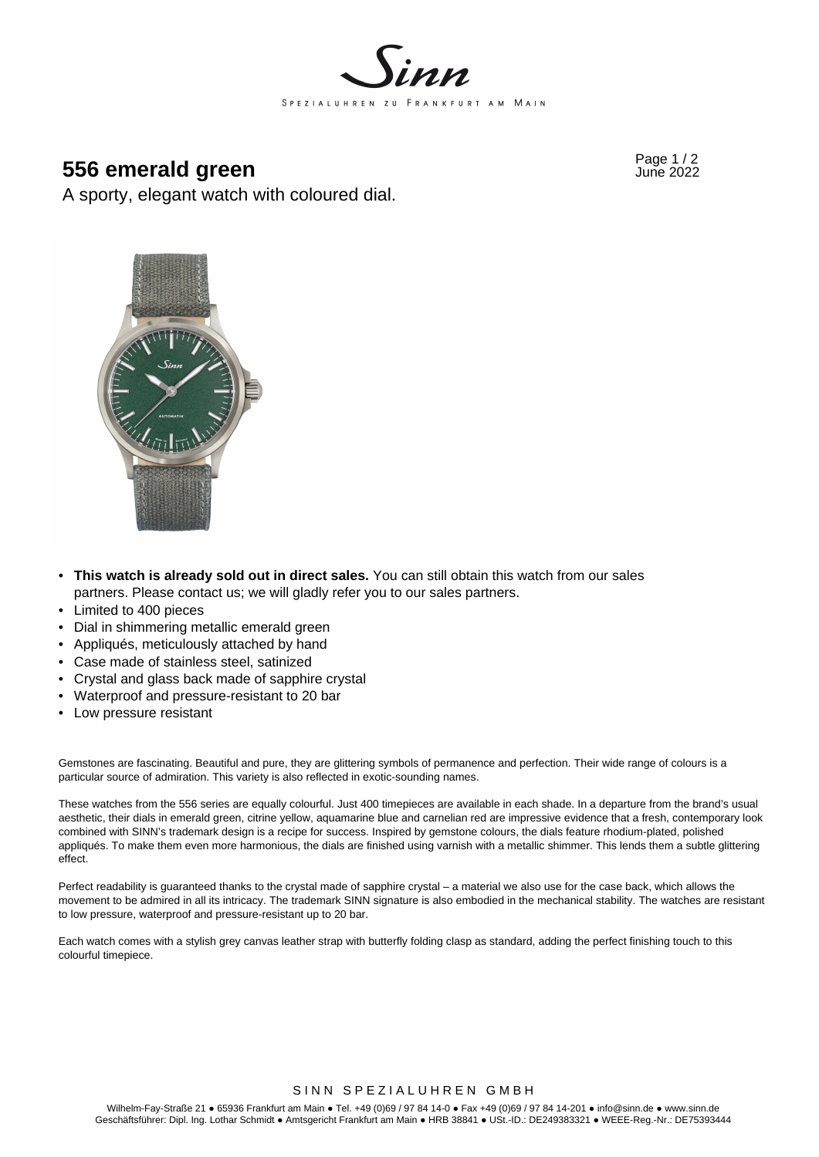

# **956 emerald green**  $\frac{1}{2}$  **556 emerald green**

A sporty, elegant watch with coloured dial.



- **This watch is already sold out in direct sales.** You can still obtain this watch from our sales partners. Please contact us; we will gladly refer you to our sales partners.
- Limited to 400 pieces
- Dial in shimmering metallic emerald green
- Appliqués, meticulously attached by hand
- Case made of stainless steel, satinized
- Crystal and glass back made of sapphire crystal
- Waterproof and pressure-resistant to 20 bar
- Low pressure resistant

Gemstones are fascinating. Beautiful and pure, they are glittering symbols of permanence and perfection. Their wide range of colours is a particular source of admiration. This variety is also reflected in exotic-sounding names.

These watches from the 556 series are equally colourful. Just 400 timepieces are available in each shade. In a departure from the brand's usual aesthetic, their dials in emerald green, citrine yellow, aquamarine blue and carnelian red are impressive evidence that a fresh, contemporary look combined with SINN's trademark design is a recipe for success. Inspired by gemstone colours, the dials feature rhodium-plated, polished appliqués. To make them even more harmonious, the dials are finished using varnish with a metallic shimmer. This lends them a subtle glittering effect.

Perfect readability is guaranteed thanks to the crystal made of sapphire crystal – a material we also use for the case back, which allows the movement to be admired in all its intricacy. The trademark SINN signature is also embodied in the mechanical stability. The watches are resistant to low pressure, waterproof and pressure-resistant up to 20 bar.

Each watch comes with a stylish grey canvas leather strap with butterfly folding clasp as standard, adding the perfect finishing touch to this colourful timepiece.

# SINN SPEZIALUHREN GMBH